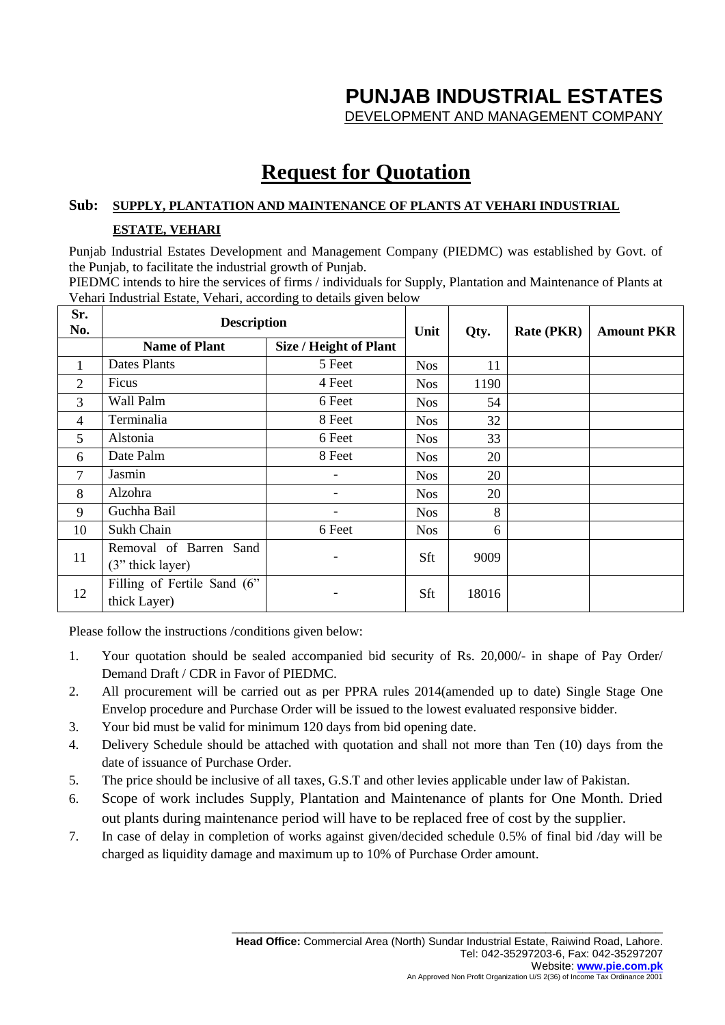# **PUNJAB INDUSTRIAL ESTATES**

DEVELOPMENT AND MANAGEMENT COMPANY

## **Request for Quotation**

#### **Sub: SUPPLY, PLANTATION AND MAINTENANCE OF PLANTS AT VEHARI INDUSTRIAL**

#### **ESTATE, VEHARI**

Punjab Industrial Estates Development and Management Company (PIEDMC) was established by Govt. of the Punjab, to facilitate the industrial growth of Punjab.

PIEDMC intends to hire the services of firms / individuals for Supply, Plantation and Maintenance of Plants at Vehari Industrial Estate, Vehari, according to details given below

| Sr.<br>No. | <b>Description</b>                          |                          | Unit       | Qty.  | <b>Rate (PKR)</b> | <b>Amount PKR</b> |
|------------|---------------------------------------------|--------------------------|------------|-------|-------------------|-------------------|
|            | <b>Name of Plant</b>                        | Size / Height of Plant   |            |       |                   |                   |
| 1          | Dates Plants                                | 5 Feet                   | <b>Nos</b> | 11    |                   |                   |
| 2          | Ficus                                       | 4 Feet                   | <b>Nos</b> | 1190  |                   |                   |
| 3          | Wall Palm                                   | 6 Feet                   | <b>Nos</b> | 54    |                   |                   |
| 4          | Terminalia                                  | 8 Feet                   | <b>Nos</b> | 32    |                   |                   |
| 5          | Alstonia                                    | 6 Feet                   | <b>Nos</b> | 33    |                   |                   |
| 6          | Date Palm                                   | 8 Feet                   | <b>Nos</b> | 20    |                   |                   |
| 7          | Jasmin                                      | $\overline{\phantom{0}}$ | <b>Nos</b> | 20    |                   |                   |
| 8          | Alzohra                                     |                          | <b>Nos</b> | 20    |                   |                   |
| 9          | Guchha Bail                                 |                          | <b>Nos</b> | 8     |                   |                   |
| 10         | Sukh Chain                                  | 6 Feet                   | <b>Nos</b> | 6     |                   |                   |
| 11         | Removal of Barren Sand<br>(3" thick layer)  | ۰                        | Sft        | 9009  |                   |                   |
| 12         | Filling of Fertile Sand (6"<br>thick Layer) | $\overline{\phantom{a}}$ | Sft        | 18016 |                   |                   |

Please follow the instructions /conditions given below:

- 1. Your quotation should be sealed accompanied bid security of Rs. 20,000/- in shape of Pay Order/ Demand Draft / CDR in Favor of PIEDMC.
- 2. All procurement will be carried out as per PPRA rules 2014(amended up to date) Single Stage One Envelop procedure and Purchase Order will be issued to the lowest evaluated responsive bidder.
- 3. Your bid must be valid for minimum 120 days from bid opening date.
- 4. Delivery Schedule should be attached with quotation and shall not more than Ten (10) days from the date of issuance of Purchase Order.
- 5. The price should be inclusive of all taxes, G.S.T and other levies applicable under law of Pakistan.
- 6. Scope of work includes Supply, Plantation and Maintenance of plants for One Month. Dried out plants during maintenance period will have to be replaced free of cost by the supplier.
- 7. In case of delay in completion of works against given/decided schedule 0.5% of final bid /day will be charged as liquidity damage and maximum up to 10% of Purchase Order amount.